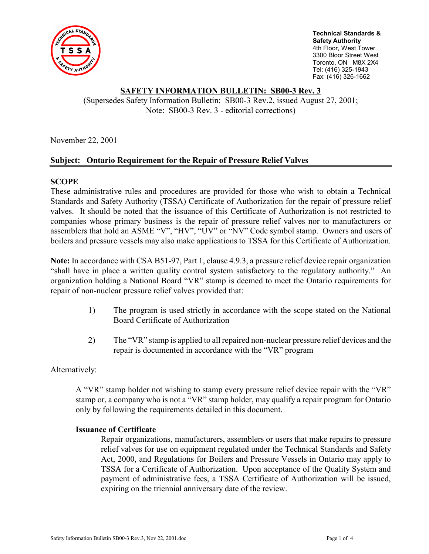

**Technical Standards & Safety Authority**  4th Floor, West Tower 3300 Bloor Street West Toronto, ON M8X 2X4 Tel: (416) 325-1943 Fax: (416) 326-1662

# **SAFETY INFORMATION BULLETIN: SB00-3 Rev. 3**

(Supersedes Safety Information Bulletin: SB00-3 Rev.2, issued August 27, 2001; Note: SB00-3 Rev. 3 - editorial corrections)

November 22, 2001

# **Subject: Ontario Requirement for the Repair of Pressure Relief Valves**

# **SCOPE**

These administrative rules and procedures are provided for those who wish to obtain a Technical Standards and Safety Authority (TSSA) Certificate of Authorization for the repair of pressure relief valves. It should be noted that the issuance of this Certificate of Authorization is not restricted to companies whose primary business is the repair of pressure relief valves nor to manufacturers or assemblers that hold an ASME "V", "HV", "UV" or "NV" Code symbol stamp. Owners and users of boilers and pressure vessels may also make applications to TSSA for this Certificate of Authorization.

**Note:** In accordance with CSA B51-97, Part 1, clause 4.9.3, a pressure relief device repair organization "shall have in place a written quality control system satisfactory to the regulatory authority." An organization holding a National Board "VR" stamp is deemed to meet the Ontario requirements for repair of non-nuclear pressure relief valves provided that:

- 1) The program is used strictly in accordance with the scope stated on the National Board Certificate of Authorization
- 2) The "VR" stamp is applied to all repaired non-nuclear pressure relief devices and the repair is documented in accordance with the "VR" program

Alternatively:

A "VR" stamp holder not wishing to stamp every pressure relief device repair with the "VR" stamp or, a company who is not a "VR" stamp holder, may qualify a repair program for Ontario only by following the requirements detailed in this document.

## **Issuance of Certificate**

 Repair organizations, manufacturers, assemblers or users that make repairs to pressure relief valves for use on equipment regulated under the Technical Standards and Safety Act, 2000, and Regulations for Boilers and Pressure Vessels in Ontario may apply to TSSA for a Certificate of Authorization. Upon acceptance of the Quality System and payment of administrative fees, a TSSA Certificate of Authorization will be issued, expiring on the triennial anniversary date of the review.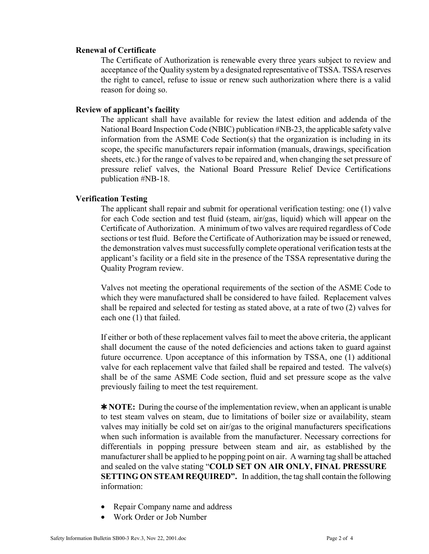## **Renewal of Certificate**

The Certificate of Authorization is renewable every three years subject to review and acceptance of the Quality system by a designated representative of TSSA. TSSA reserves the right to cancel, refuse to issue or renew such authorization where there is a valid reason for doing so.

# **Review of applicant's facility**

The applicant shall have available for review the latest edition and addenda of the National Board Inspection Code (NBIC) publication #NB-23, the applicable safety valve information from the ASME Code Section(s) that the organization is including in its scope, the specific manufacturers repair information (manuals, drawings, specification sheets, etc.) for the range of valves to be repaired and, when changing the set pressure of pressure relief valves, the National Board Pressure Relief Device Certifications publication #NB-18.

# **Verification Testing**

The applicant shall repair and submit for operational verification testing: one (1) valve for each Code section and test fluid (steam, air/gas, liquid) which will appear on the Certificate of Authorization. A minimum of two valves are required regardless of Code sections or test fluid. Before the Certificate of Authorization may be issued or renewed, the demonstration valves must successfully complete operational verification tests at the applicant's facility or a field site in the presence of the TSSA representative during the Quality Program review.

Valves not meeting the operational requirements of the section of the ASME Code to which they were manufactured shall be considered to have failed. Replacement valves shall be repaired and selected for testing as stated above, at a rate of two (2) valves for each one (1) that failed.

If either or both of these replacement valves fail to meet the above criteria, the applicant shall document the cause of the noted deficiencies and actions taken to guard against future occurrence. Upon acceptance of this information by TSSA, one (1) additional valve for each replacement valve that failed shall be repaired and tested. The valve(s) shall be of the same ASME Code section, fluid and set pressure scope as the valve previously failing to meet the test requirement.

✱ **NOTE:** During the course of the implementation review, when an applicant is unable to test steam valves on steam, due to limitations of boiler size or availability, steam valves may initially be cold set on air/gas to the original manufacturers specifications when such information is available from the manufacturer. Necessary corrections for differentials in popping pressure between steam and air, as established by the manufacturer shall be applied to he popping point on air. A warning tag shall be attached and sealed on the valve stating "**COLD SET ON AIR ONLY, FINAL PRESSURE SETTING ON STEAM REQUIRED".** In addition, the tag shall contain the following information:

- Repair Company name and address
- Work Order or Job Number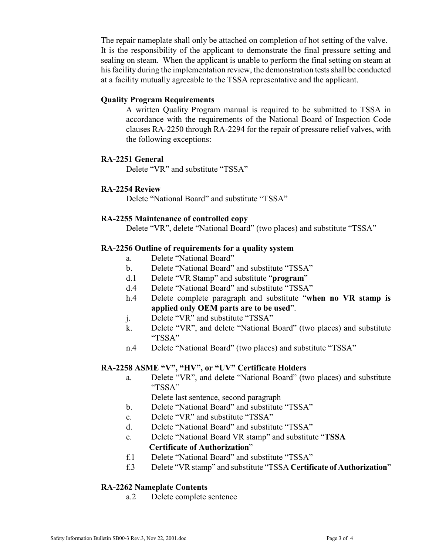The repair nameplate shall only be attached on completion of hot setting of the valve. It is the responsibility of the applicant to demonstrate the final pressure setting and sealing on steam. When the applicant is unable to perform the final setting on steam at his facility during the implementation review, the demonstration tests shall be conducted at a facility mutually agreeable to the TSSA representative and the applicant.

# **Quality Program Requirements**

A written Quality Program manual is required to be submitted to TSSA in accordance with the requirements of the National Board of Inspection Code clauses RA-2250 through RA-2294 for the repair of pressure relief valves, with the following exceptions:

# **RA-2251 General**

Delete "VR" and substitute "TSSA"

# **RA-2254 Review**

Delete "National Board" and substitute "TSSA"

# **RA-2255 Maintenance of controlled copy**

Delete "VR", delete "National Board" (two places) and substitute "TSSA"

# **RA-2256 Outline of requirements for a quality system**

- a. Delete "National Board"
- b. Delete "National Board" and substitute "TSSA"
- d.1 Delete "VR Stamp" and substitute "**program**"
- d.4 Delete "National Board" and substitute "TSSA"
- h.4 Delete complete paragraph and substitute "**when no VR stamp is applied only OEM parts are to be used**".
- j. Delete "VR" and substitute "TSSA"
- k. Delete "VR", and delete "National Board" (two places) and substitute "TSSA"
- n.4 Delete "National Board" (two places) and substitute "TSSA"

# **RA-2258 ASME "V", "HV", or "UV" Certificate Holders**

a. Delete "VR", and delete "National Board" (two places) and substitute "TSSA"

Delete last sentence, second paragraph

- b. Delete "National Board" and substitute "TSSA"
- c. Delete "VR" and substitute "TSSA"
- d. Delete "National Board" and substitute "TSSA"
- e. Delete "National Board VR stamp" and substitute "**TSSA**

# **Certificate of Authorization**"

- f.1 Delete "National Board" and substitute "TSSA"
- f.3 Delete "VR stamp" and substitute "TSSA **Certificate of Authorization**"

# **RA-2262 Nameplate Contents**

a.2 Delete complete sentence